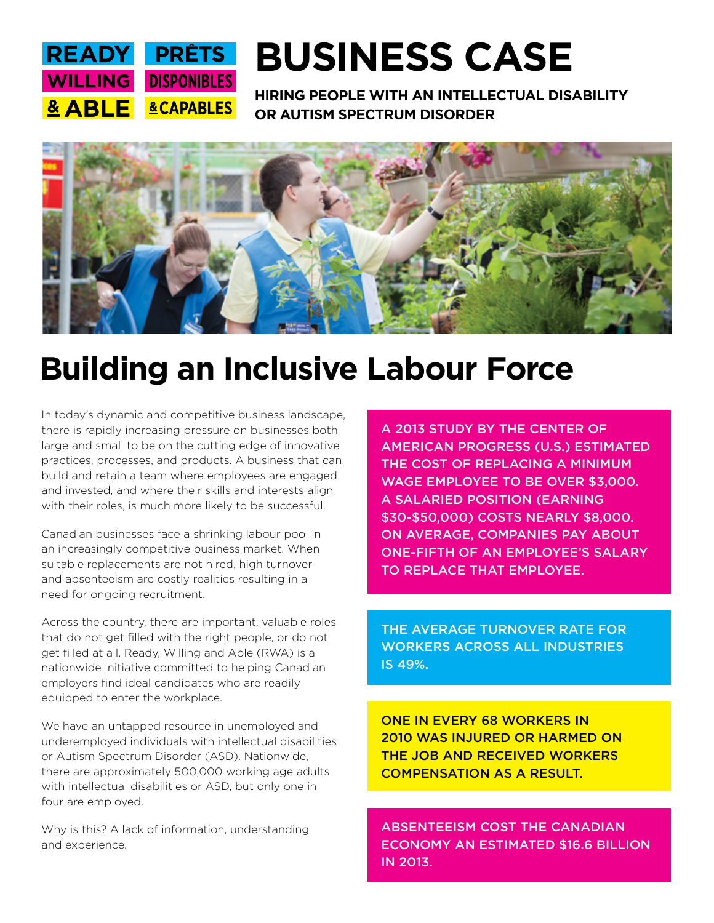

# **BUSINESS CASE**

**HIRING PEOPLE WITH AN INTELLECTUAL DISABILITY OR AUTISM SPECTRUM DISORDER**



## **Building an Inclusive Labour Force**

In today's dynamic and competitive business landscape, there is rapidly increasing pressure on businesses both large and small to be on the cutting edge of innovative practices, processes, and products. A business that can build and retain a team where employees are engaged and invested, and where their skills and interests align with their roles, is much more likely to be successful.

Canadian businesses face a shrinking labour pool in an increasingly competitive business market. When suitable replacements are not hired, high turnover and absenteeism are costly realities resulting in a need for ongoing recruitment.

Across the country, there are important, valuable roles that do not get filled with the right people, or do not get filled at all. Ready, Willing and Able (RWA) is a nationwide initiative committed to helping Canadian employers find ideal candidates who are readily equipped to enter the workplace.

We have an untapped resource in unemployed and underemployed individuals with intellectual disabilities or Autism Spectrum Disorder (ASD). Nationwide, there are approximately 500,000 working age adults with intellectual disabilities or ASD, but only one in four are employed.

Why is this? A lack of information, understanding and experience.

A 2013 STUDY BY THE CENTER OF AMERICAN PROGRESS (U.S.) ESTIMATED THE COST OF REPLACING A MINIMUM WAGE EMPLOYEE TO BE OVER \$3,000. A SALARIED POSITION (EARNING \$30-\$50,000) COSTS NEARLY \$8,000. ON AVERAGE, COMPANIES PAY ABOUT ONE-FIFTH OF AN EMPLOYEE'S SALARY TO REPLACE THAT EMPLOYEE.

THE AVERAGE TURNOVER RATE FOR WORKERS ACROSS ALL INDUSTRIES IS 49%.

ONE IN EVERY 68 WORKERS IN 2010 WAS INJURED OR HARMED ON THE JOB AND RECEIVED WORKERS COMPENSATION AS A RESULT.

ABSENTEEISM COST THE CANADIAN ECONOMY AN ESTIMATED \$16.6 BILLION IN 2013.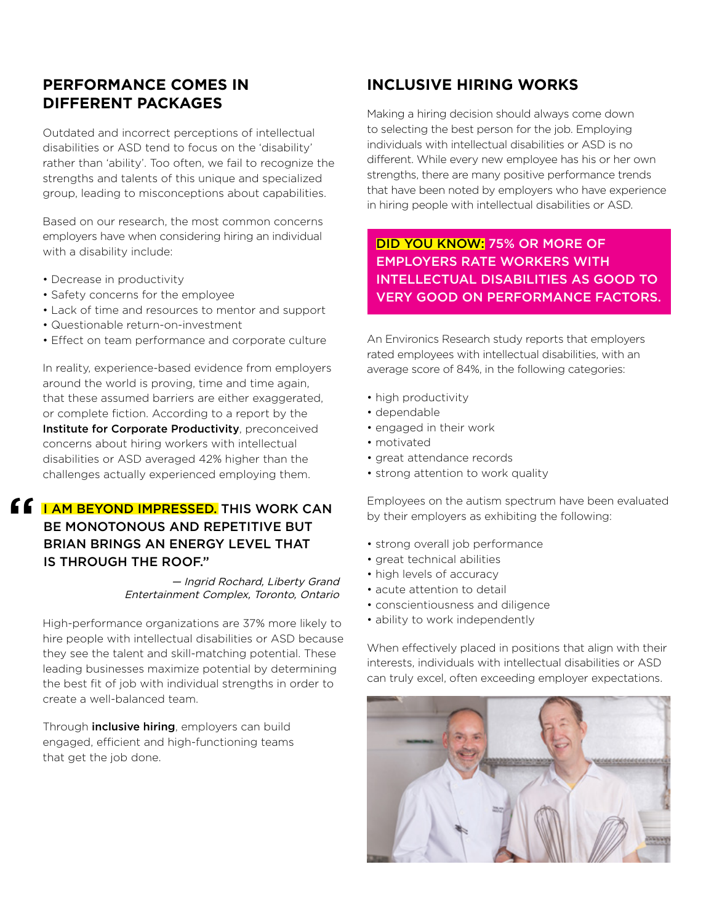## **PERFORMANCE COMES IN DIFFERENT PACKAGES**

Outdated and incorrect perceptions of intellectual disabilities or ASD tend to focus on the 'disability' rather than 'ability'. Too often, we fail to recognize the strengths and talents of this unique and specialized group, leading to misconceptions about capabilities.

Based on our research, the most common concerns employers have when considering hiring an individual with a disability include:

- Decrease in productivity
- Safety concerns for the employee
- Lack of time and resources to mentor and support
- Questionable return-on-investment
- Effect on team performance and corporate culture

In reality, experience-based evidence from employers around the world is proving, time and time again, that these assumed barriers are either exaggerated, or complete fiction. According to a report by the Institute for Corporate Productivity, preconceived concerns about hiring workers with intellectual disabilities or ASD averaged 42% higher than the challenges actually experienced employing them.

## **f 6** I AM BEYOND IMPRESSED. THIS WORK CAN BE MONOTONOUS AND REPETITIVE BUT BRIAN BRINGS AN ENERGY LEVEL THAT IS THROUGH THE ROOF."

#### — Ingrid Rochard, Liberty Grand Entertainment Complex, Toronto, Ontario

High-performance organizations are 37% more likely to hire people with intellectual disabilities or ASD because they see the talent and skill-matching potential. These leading businesses maximize potential by determining the best fit of job with individual strengths in order to create a well-balanced team.

Through **inclusive hiring**, employers can build engaged, efficient and high-functioning teams that get the job done.

## **INCLUSIVE HIRING WORKS**

Making a hiring decision should always come down to selecting the best person for the job. Employing individuals with intellectual disabilities or ASD is no different. While every new employee has his or her own strengths, there are many positive performance trends that have been noted by employers who have experience in hiring people with intellectual disabilities or ASD.

### DID YOU KNOW: 75% OR MORE OF EMPLOYERS RATE WORKERS WITH INTELLECTUAL DISABILITIES AS GOOD TO VERY GOOD ON PERFORMANCE FACTORS.

An Environics Research study reports that employers rated employees with intellectual disabilities, with an average score of 84%, in the following categories:

- high productivity
- dependable
- engaged in their work
- motivated
- great attendance records
- strong attention to work quality

Employees on the autism spectrum have been evaluated by their employers as exhibiting the following:

- strong overall job performance
- great technical abilities
- high levels of accuracy
- acute attention to detail
- conscientiousness and diligence
- ability to work independently

When effectively placed in positions that align with their interests, individuals with intellectual disabilities or ASD can truly excel, often exceeding employer expectations.

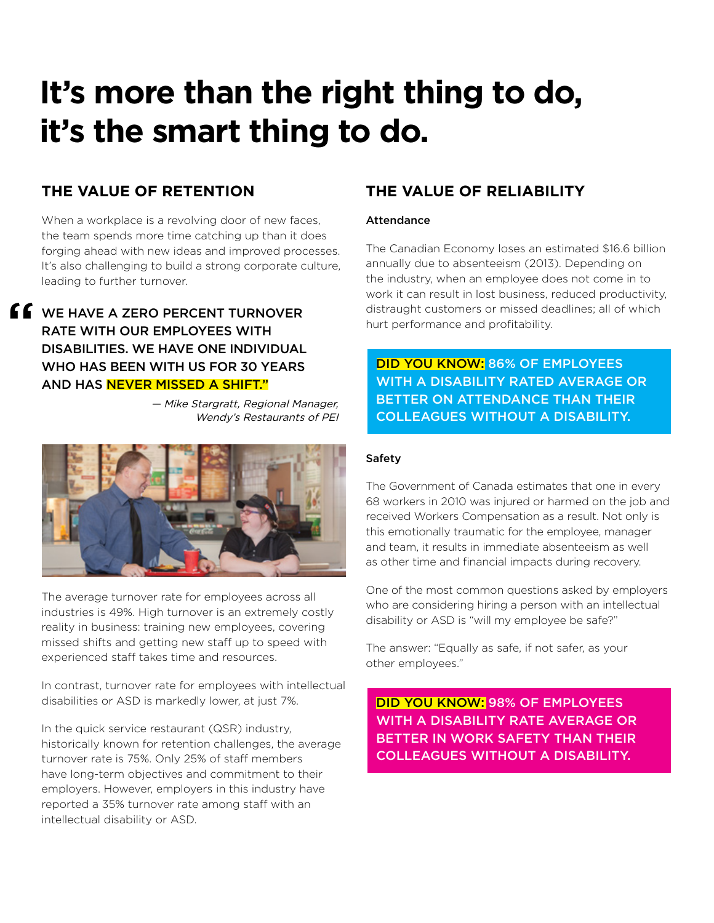## **It's more than the right thing to do, it's the smart thing to do.**

## **THE VALUE OF RETENTION**

When a workplace is a revolving door of new faces, the team spends more time catching up than it does forging ahead with new ideas and improved processes. It's also challenging to build a strong corporate culture, leading to further turnover.

**f**  $\bullet$  we have a zero percent turnover RATE WITH OUR EMPLOYEES WITH DISABILITIES. WE HAVE ONE INDIVIDUAL WHO HAS BEEN WITH US FOR 30 YEARS AND HAS NEVER MISSED A SHIFT."

> — Mike Stargratt, Regional Manager, Wendy's Restaurants of PEI



The average turnover rate for employees across all industries is 49%. High turnover is an extremely costly reality in business: training new employees, covering missed shifts and getting new staff up to speed with experienced staff takes time and resources.

In contrast, turnover rate for employees with intellectual disabilities or ASD is markedly lower, at just 7%.

In the quick service restaurant (QSR) industry, historically known for retention challenges, the average turnover rate is 75%. Only 25% of staff members have long-term objectives and commitment to their employers. However, employers in this industry have reported a 35% turnover rate among staff with an intellectual disability or ASD.

## **THE VALUE OF RELIABILITY**

#### Attendance

The Canadian Economy loses an estimated \$16.6 billion annually due to absenteeism (2013). Depending on the industry, when an employee does not come in to work it can result in lost business, reduced productivity, distraught customers or missed deadlines; all of which hurt performance and profitability.

DID YOU KNOW: 86% OF EMPLOYEES WITH A DISABILITY RATED AVERAGE OR BETTER ON ATTENDANCE THAN THEIR COLLEAGUES WITHOUT A DISABILITY.

#### Safety

The Government of Canada estimates that one in every 68 workers in 2010 was injured or harmed on the job and received Workers Compensation as a result. Not only is this emotionally traumatic for the employee, manager and team, it results in immediate absenteeism as well as other time and financial impacts during recovery.

One of the most common questions asked by employers who are considering hiring a person with an intellectual disability or ASD is "will my employee be safe?"

The answer: "Equally as safe, if not safer, as your other employees."

DID YOU KNOW: 98% OF EMPLOYEES WITH A DISABILITY RATE AVERAGE OR BETTER IN WORK SAFETY THAN THEIR COLLEAGUES WITHOUT A DISABILITY.